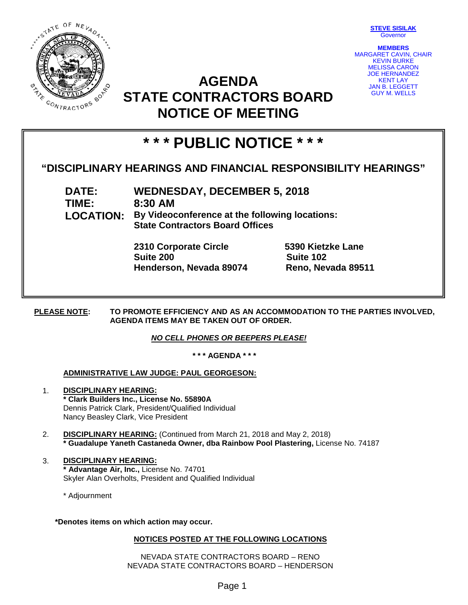

**STEVE SISILAK** Governor

**MEMBERS** MARGARET CAVIN, CHAIR KEVIN BURKE MELISSA CARON JOE HERNANDEZ KENT LAY JAN B. LEGGETT GUY M. WELLS

## **AGENDA STATE CONTRACTORS BOARD NOTICE OF MEETING**

# **\* \* \* PUBLIC NOTICE \* \* \***

### **"DISCIPLINARY HEARINGS AND FINANCIAL RESPONSIBILITY HEARINGS"**

**DATE: WEDNESDAY, DECEMBER 5, 2018 TIME: 8:30 AM LOCATION: By Videoconference at the following locations: State Contractors Board Offices**

> **2310 Corporate Circle 5390 Kietzke Lane Suite 200 Suite 102 Henderson, Nevada 89074 Reno, Nevada 89511**

**PLEASE NOTE: TO PROMOTE EFFICIENCY AND AS AN ACCOMMODATION TO THE PARTIES INVOLVED, AGENDA ITEMS MAY BE TAKEN OUT OF ORDER.**

#### *NO CELL PHONES OR BEEPERS PLEASE!*

**\* \* \* AGENDA \* \* \***

#### **ADMINISTRATIVE LAW JUDGE: PAUL GEORGESON:**

- 1. **DISCIPLINARY HEARING: \* Clark Builders Inc., License No. 55890A** Dennis Patrick Clark, President/Qualified Individual Nancy Beasley Clark, Vice President
- 2. **DISCIPLINARY HEARING:** (Continued from March 21, 2018 and May 2, 2018) **\* Guadalupe Yaneth Castaneda Owner, dba Rainbow Pool Plastering,** License No. 74187
- 3. **DISCIPLINARY HEARING:** Advantage Air, Inc., License No. 74701 Skyler Alan Overholts, President and Qualified Individual

\* Adjournment

#### **\*Denotes items on which action may occur.**

#### **NOTICES POSTED AT THE FOLLOWING LOCATIONS**

NEVADA STATE CONTRACTORS BOARD – RENO NEVADA STATE CONTRACTORS BOARD – HENDERSON